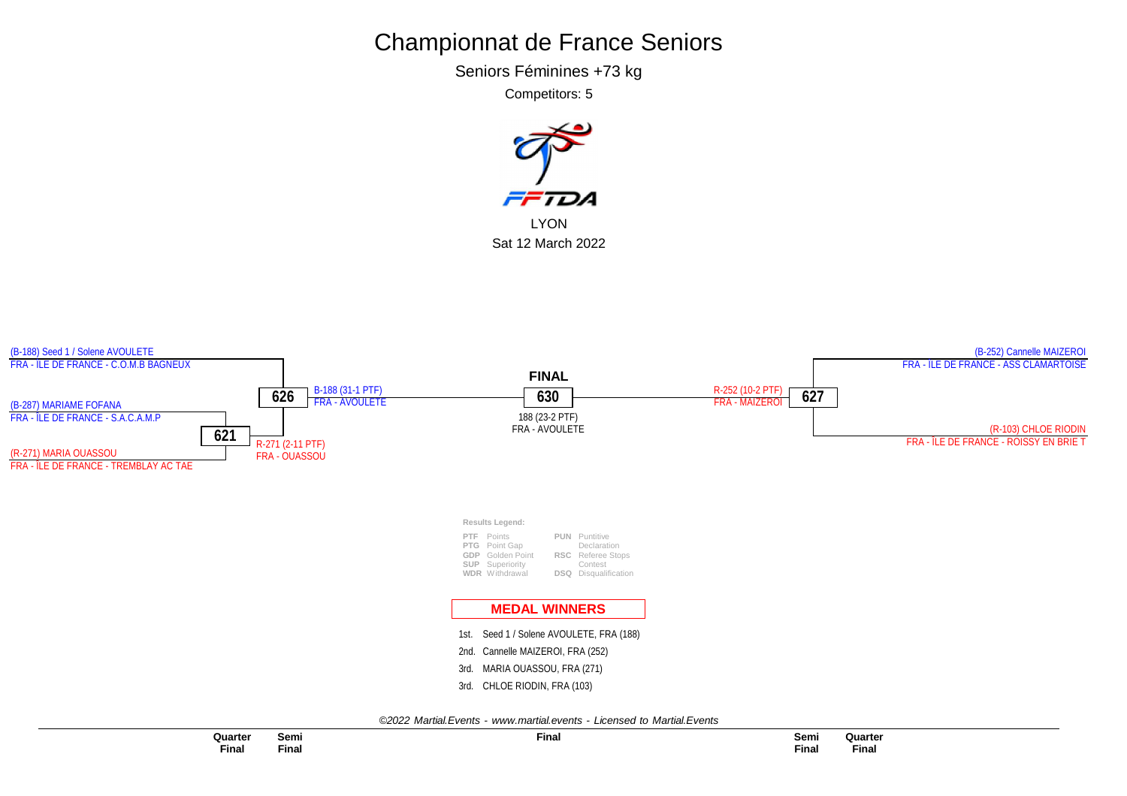Seniors Féminines +73 kg

Competitors: 5



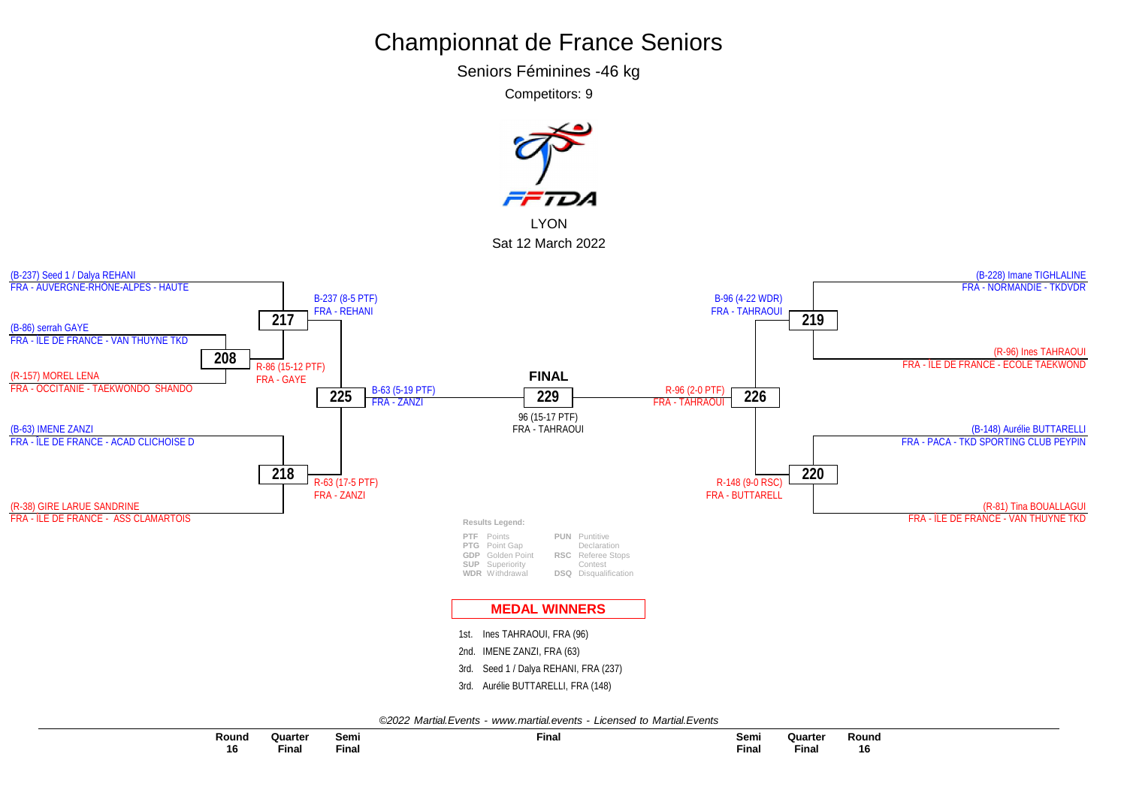Seniors Féminines -46 kg

Competitors: 9

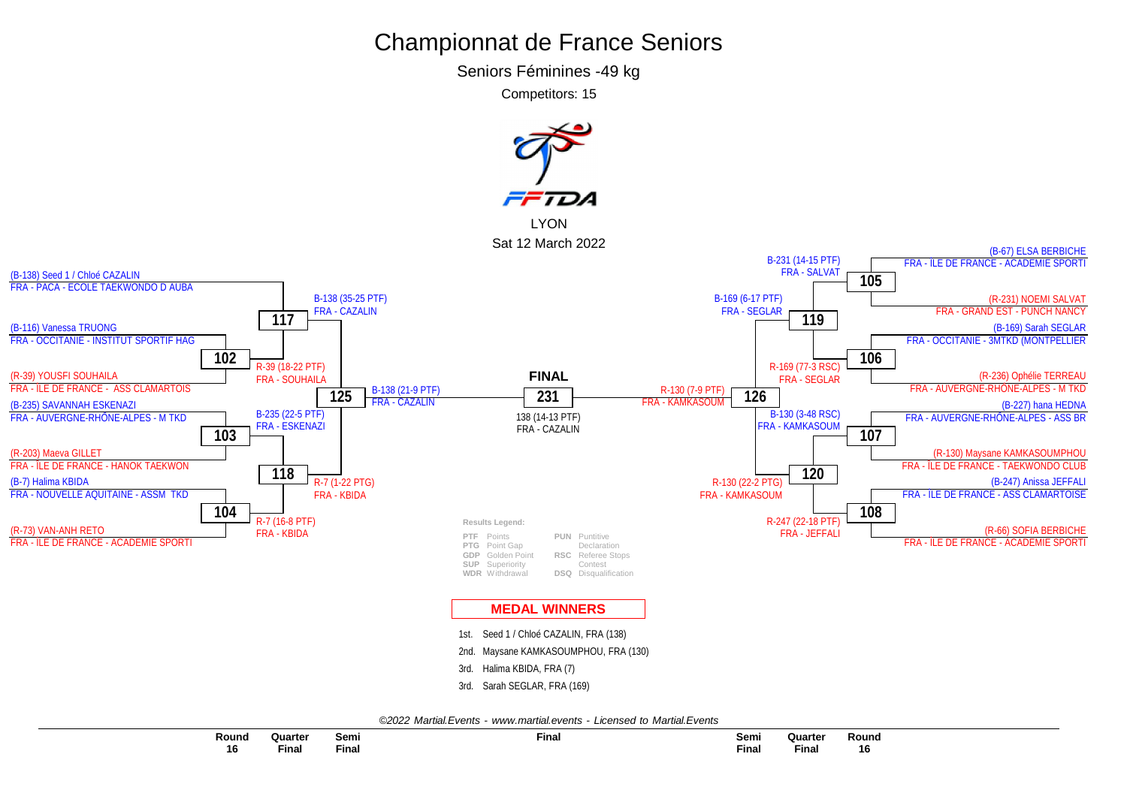Seniors Féminines -49 kg

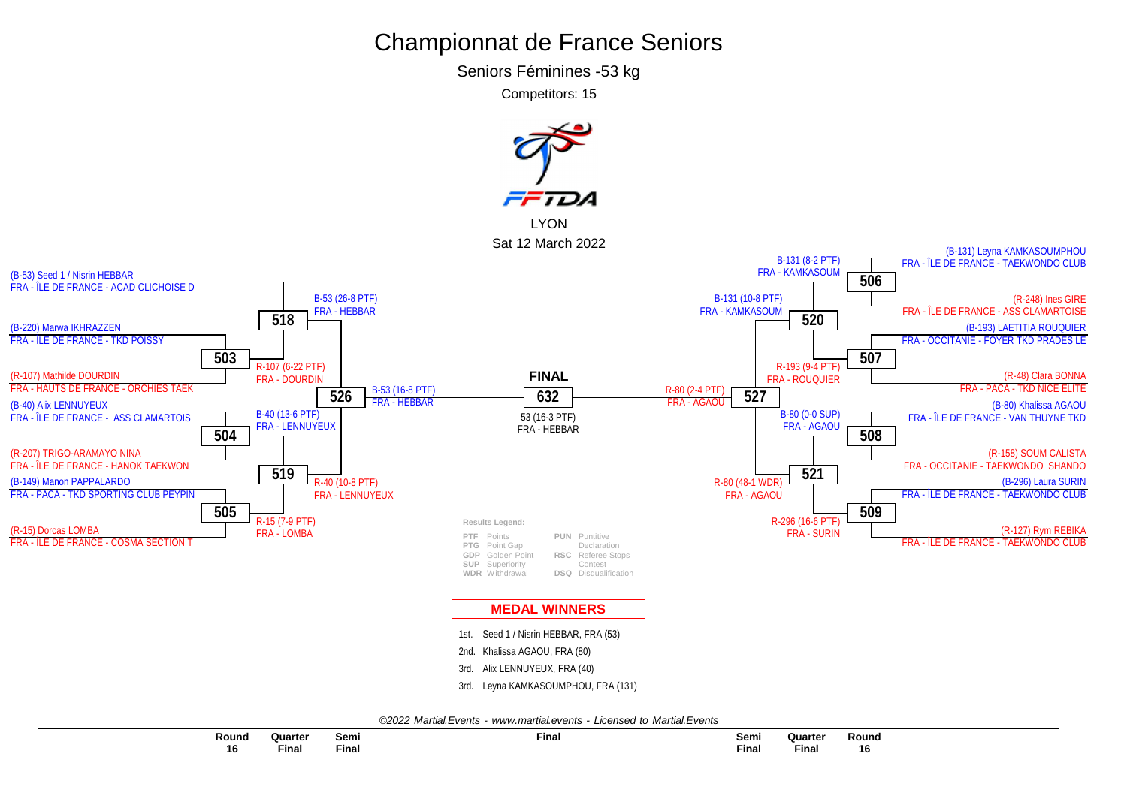Seniors Féminines -53 kg

Competitors: 15

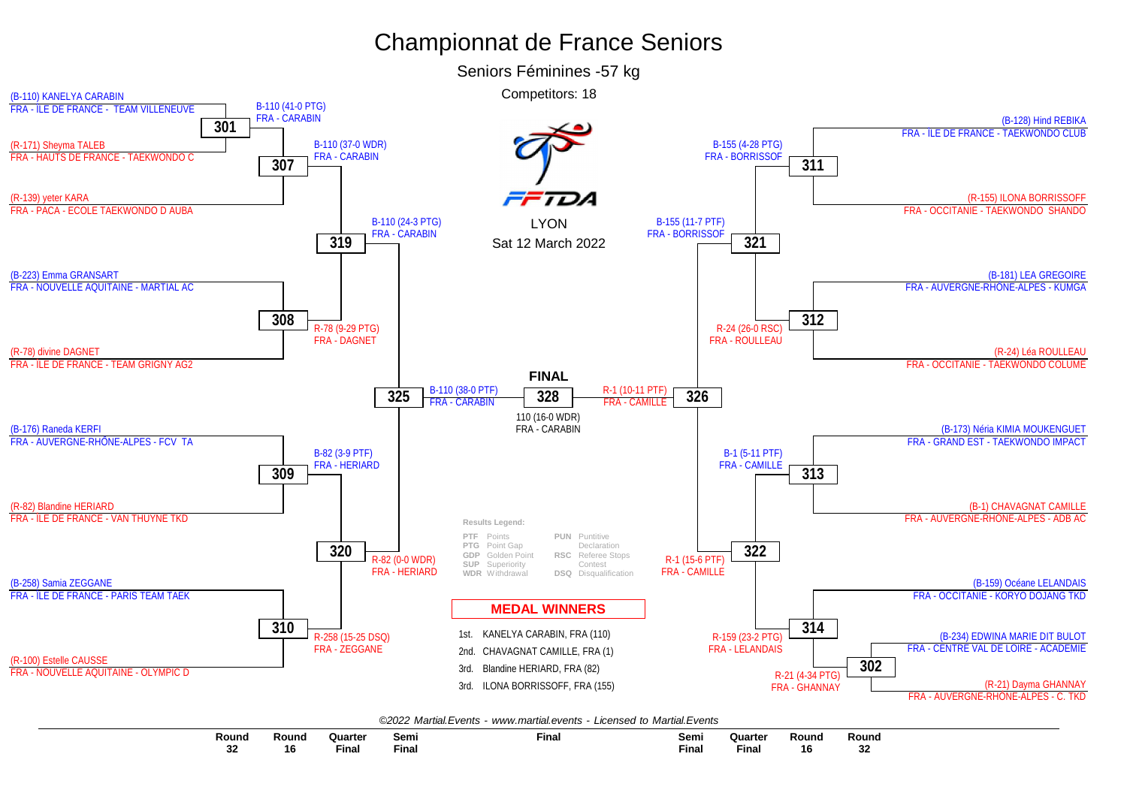

**Semi Final Final Semi Final Quarter Final Quarter Final Round 16 Round 16 Round 32 Round 32**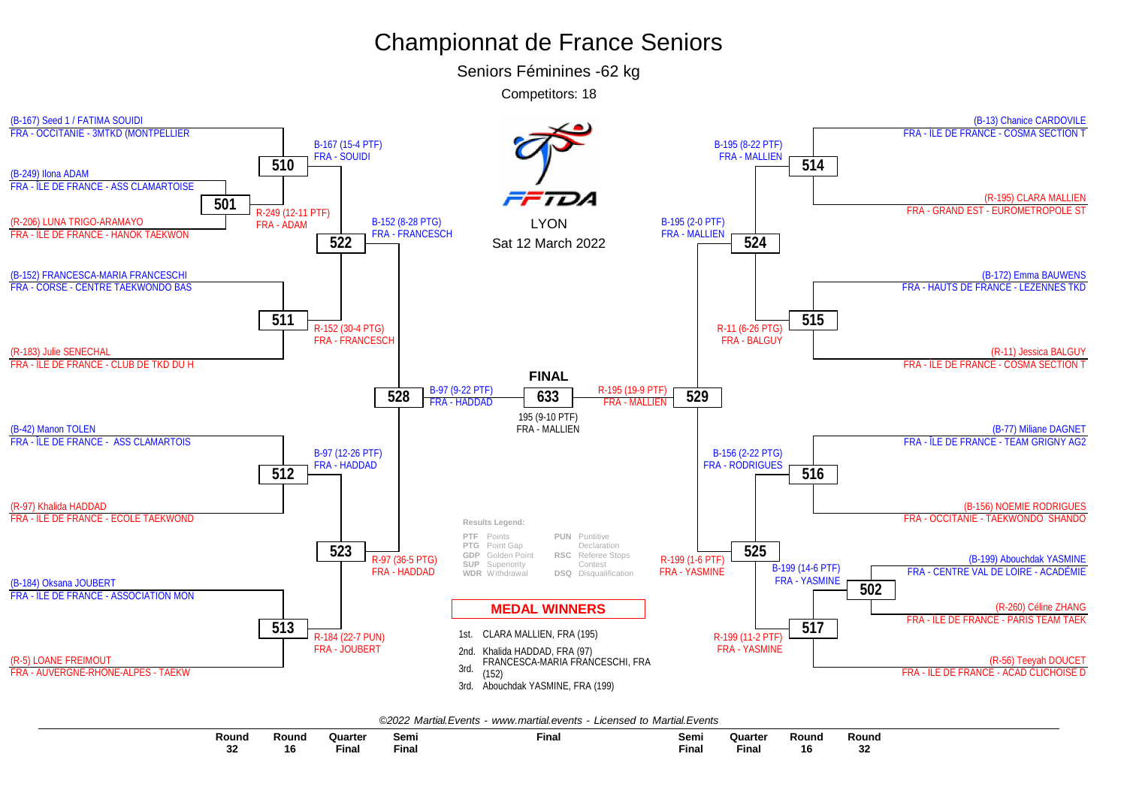Seniors Féminines -62 kg



|  |  | ©2022 Martial.Events - www.martial.events - Licensed to Martial.Events |  |  |  |  |
|--|--|------------------------------------------------------------------------|--|--|--|--|
|--|--|------------------------------------------------------------------------|--|--|--|--|

| Round     | Round | Quartei                                                                                                                                                                                                                       | Sem.        | Fina. | Semi  | Quarter                                                                                                         | Round | Round |
|-----------|-------|-------------------------------------------------------------------------------------------------------------------------------------------------------------------------------------------------------------------------------|-------------|-------|-------|-----------------------------------------------------------------------------------------------------------------|-------|-------|
|           |       | the control of the control of the control of the control of the control of the control of the control of the control of the control of the control of the control of the control of the control of the control of the control |             |       |       | and the state of the state of the state of the state of the state of the state of the state of the state of the |       |       |
| n n<br>υZ | 16    | Fina                                                                                                                                                                                                                          | --<br>Finai |       | Final | Fina.                                                                                                           | 16    |       |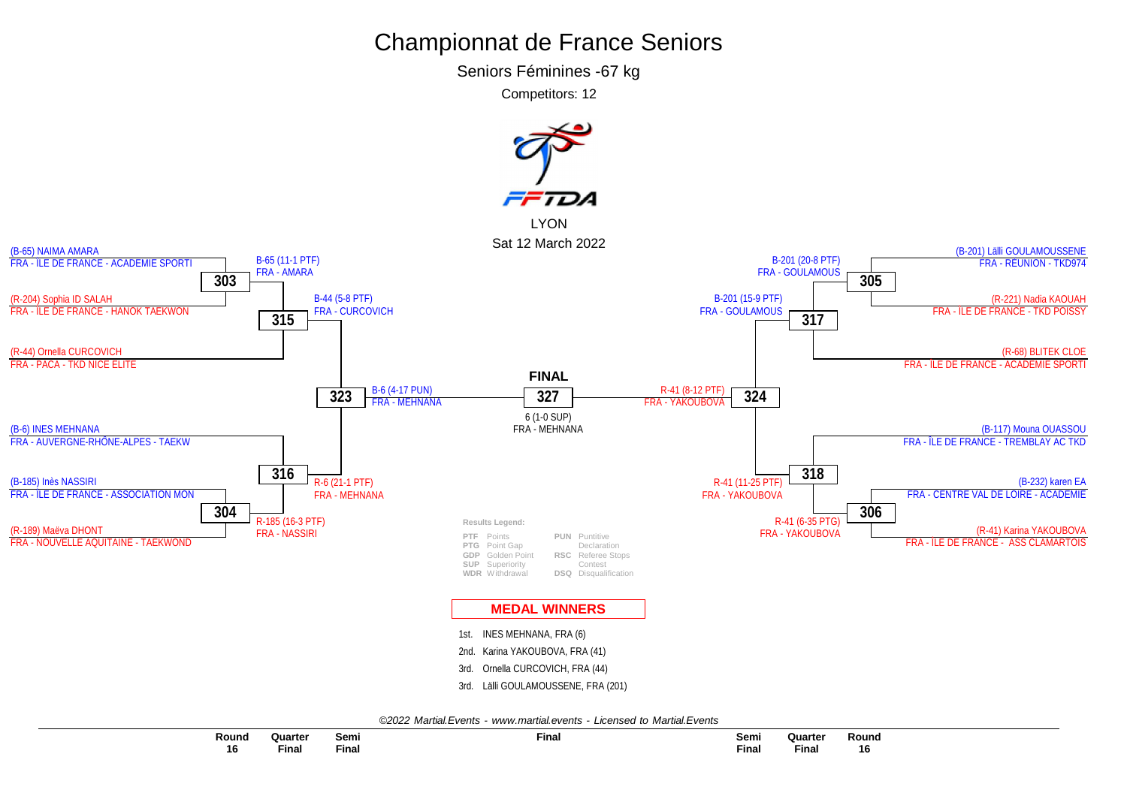Seniors Féminines -67 kg

Competitors: 12

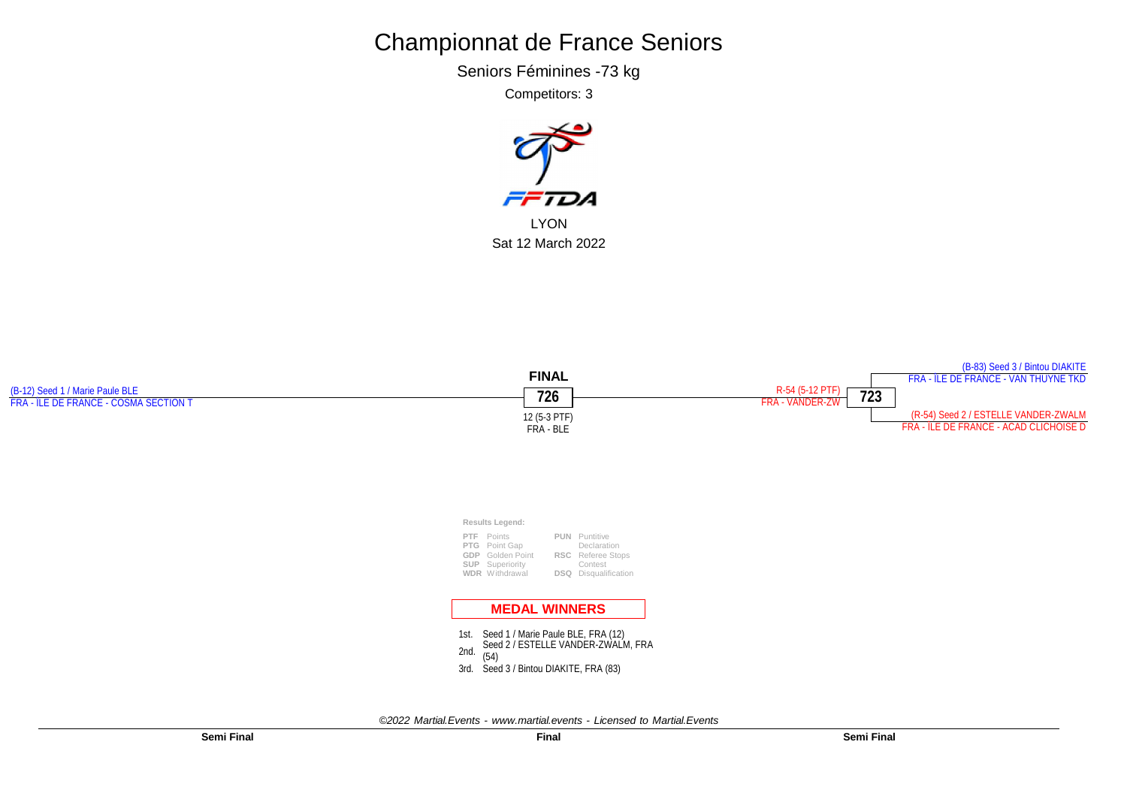Seniors Féminines -73 kg

Competitors: 3



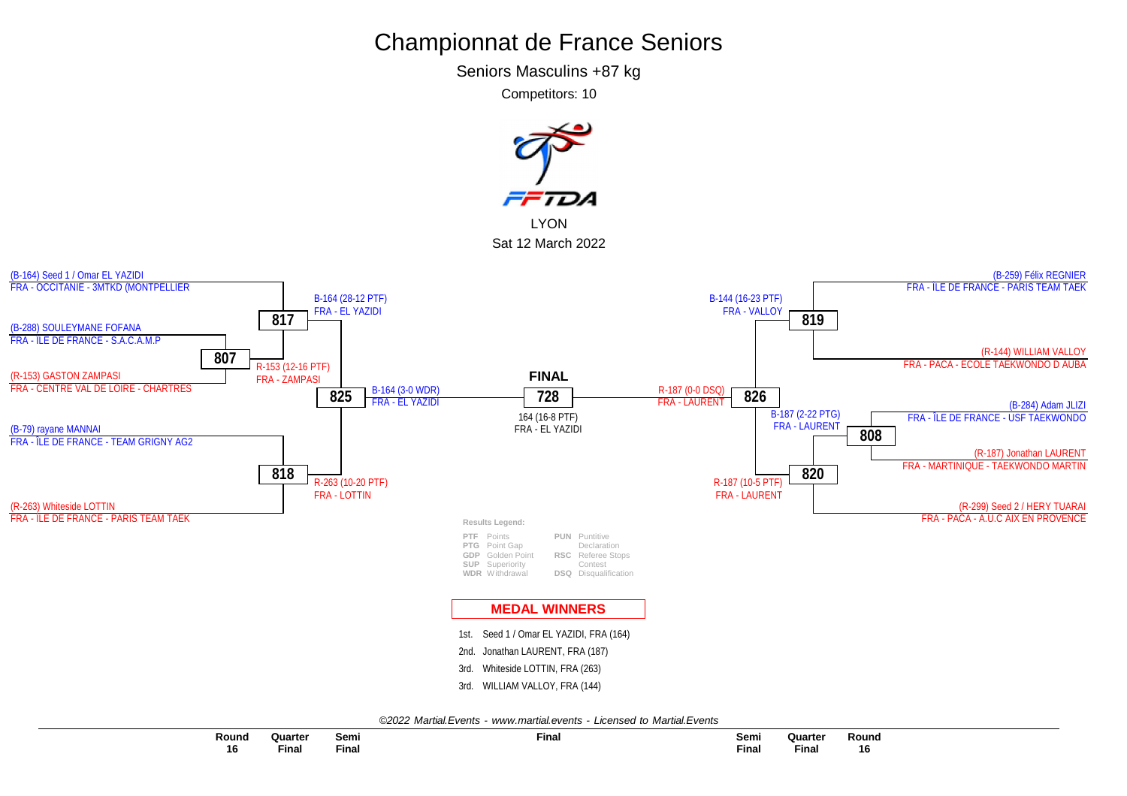Seniors Masculins +87 kg

Competitors: 10

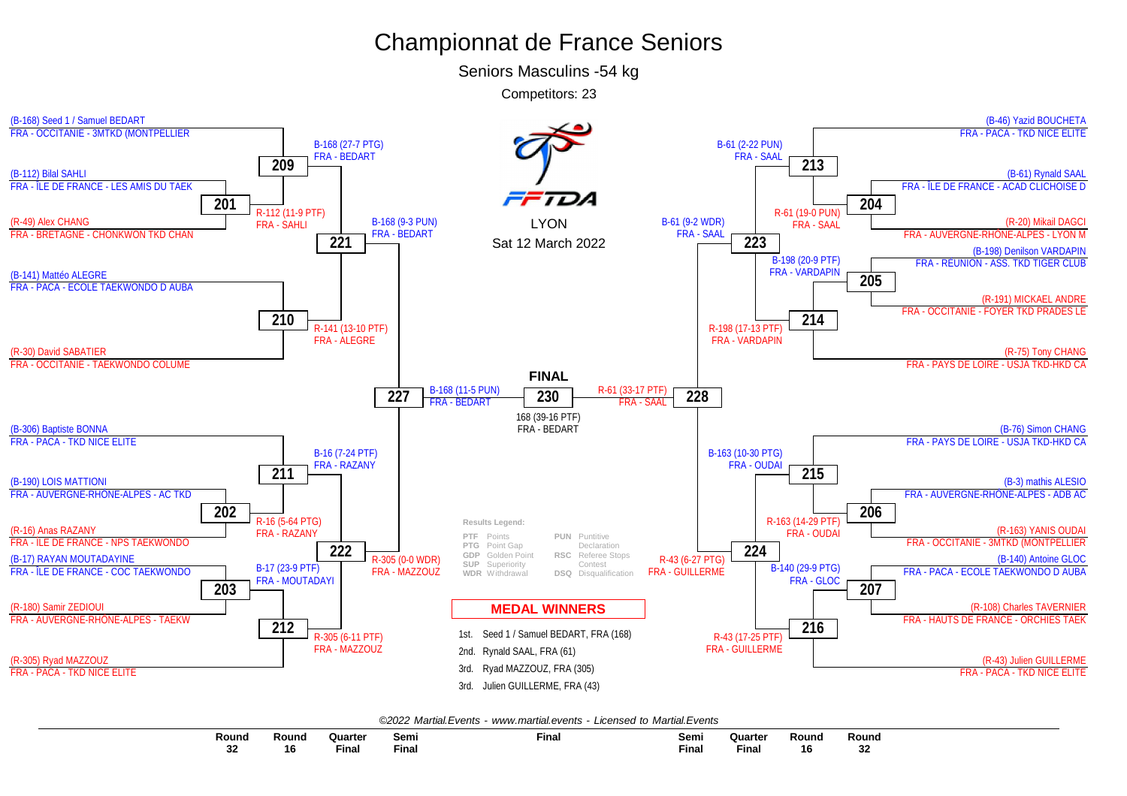Seniors Masculins -54 kg



|--|

| Round         | Rounc | Quarter           | Semi  | Fina | Semi | Quarte | Round | Round         |
|---------------|-------|-------------------|-------|------|------|--------|-------|---------------|
|               |       |                   |       |      |      |        |       |               |
| $\sim$<br>-34 | 16    | $- \cdot$<br>Fina | Final |      | Fina | Final  | 16    | $\sim$<br>-34 |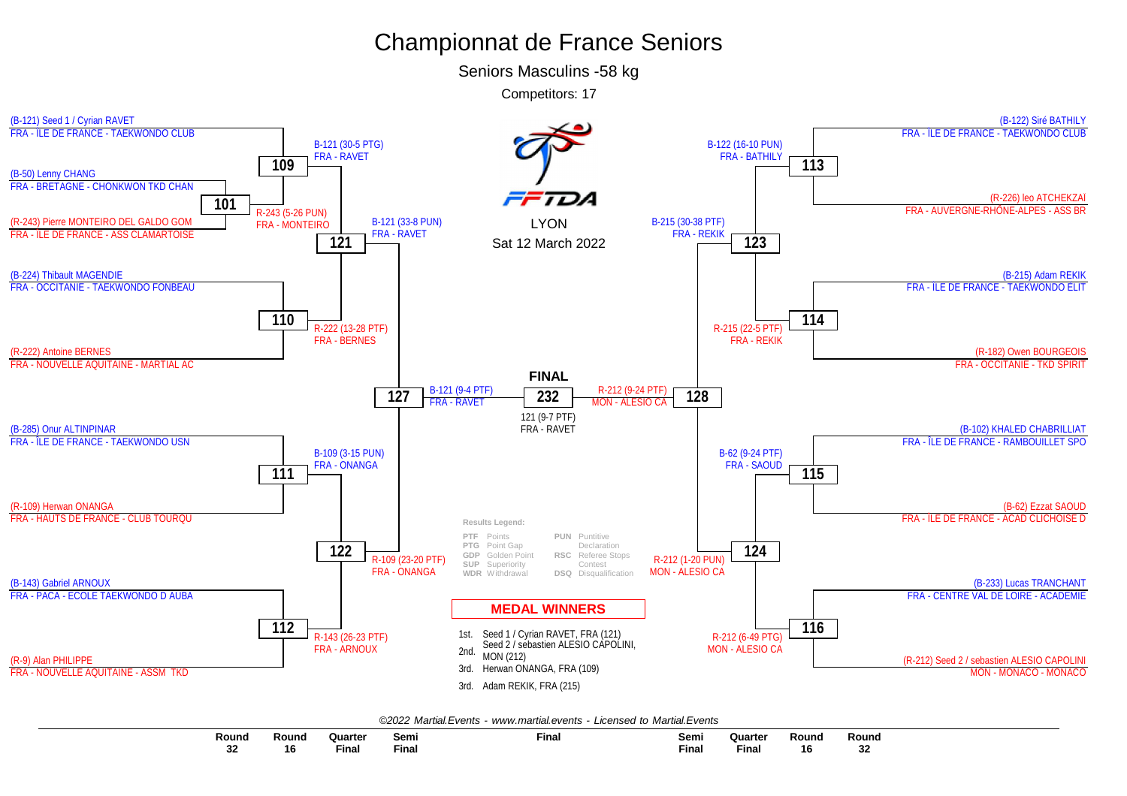Seniors Masculins -58 kg



|--|

| Round               | Round | <b>Quarte</b>      | Semi  | <b>Final</b> | Semi         | Quarter                                                                         | Round | Round |
|---------------------|-------|--------------------|-------|--------------|--------------|---------------------------------------------------------------------------------|-------|-------|
|                     |       |                    |       |              |              | the contract of the contract of the contract of the contract of the contract of |       |       |
| nn.<br>ےد<br>$\sim$ | 16    | $- \cdot$<br>Final | Final |              | <b>Final</b> | <b>Final</b>                                                                    | 16    | 32    |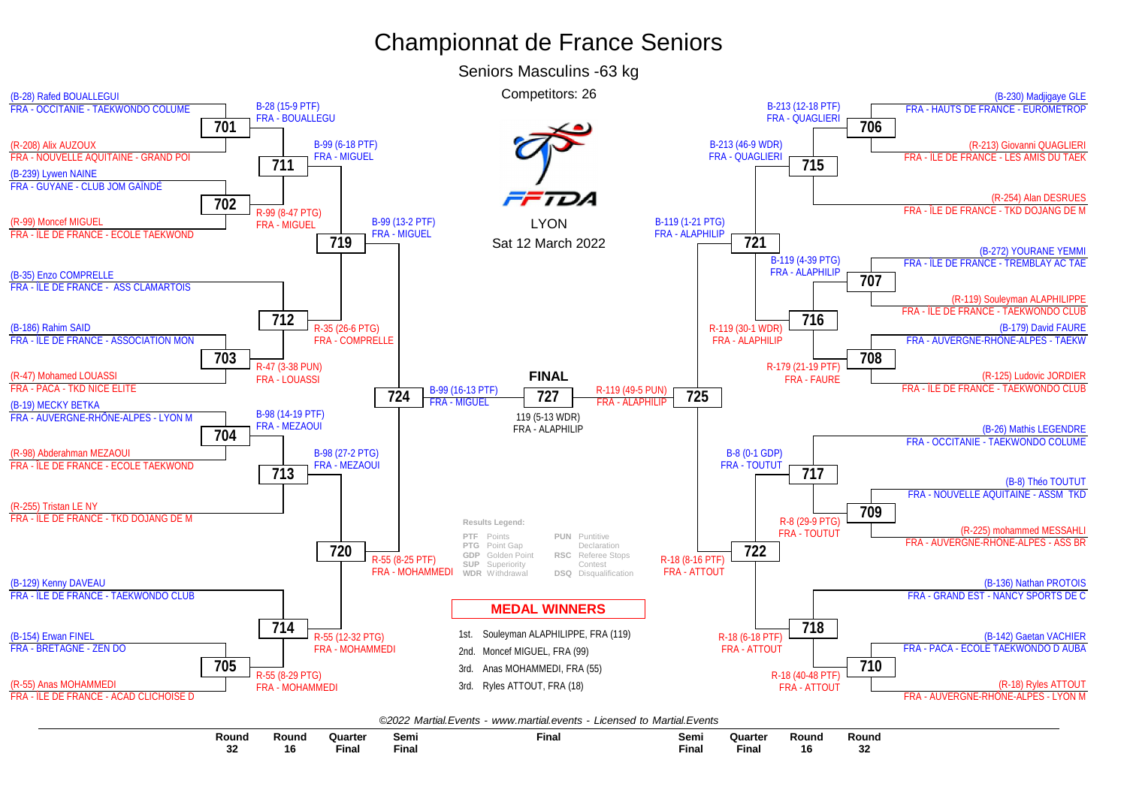

| Round       | Round | Quarter | Semi        | Final<br>the contract of the contract of the contract of | Semi         | <b>Quarter</b> | Round | Round        |
|-------------|-------|---------|-------------|----------------------------------------------------------|--------------|----------------|-------|--------------|
| $\sim$<br>æ | 16    | ™⊾      | --<br>Final |                                                          | <b>Final</b> | гша            |       | $\sim$<br>34 |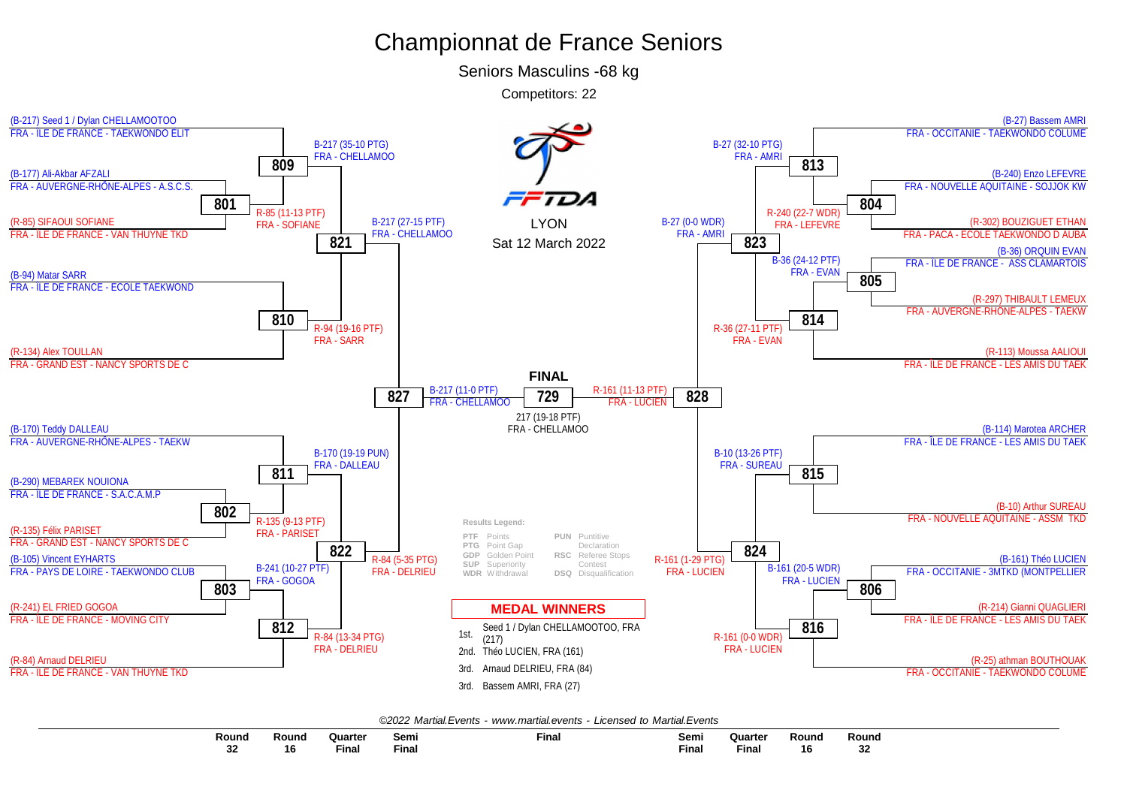Seniors Masculins -68 kg



|  |  | ©2022 Martial.Events - www.martial.events - Licensed to Martial.Events |  |  |  |  |
|--|--|------------------------------------------------------------------------|--|--|--|--|
|--|--|------------------------------------------------------------------------|--|--|--|--|

| Round           | Round | Quarter            | Semi  | <b>Final</b> | Semi  | Quarte | Round | Round        |
|-----------------|-------|--------------------|-------|--------------|-------|--------|-------|--------------|
|                 |       |                    |       |              |       |        |       |              |
| --<br>J۷<br>$-$ | 16    | $- \cdot$<br>Final | Final |              | Fina. | Final  | 16    | $\sim$<br>◡▴ |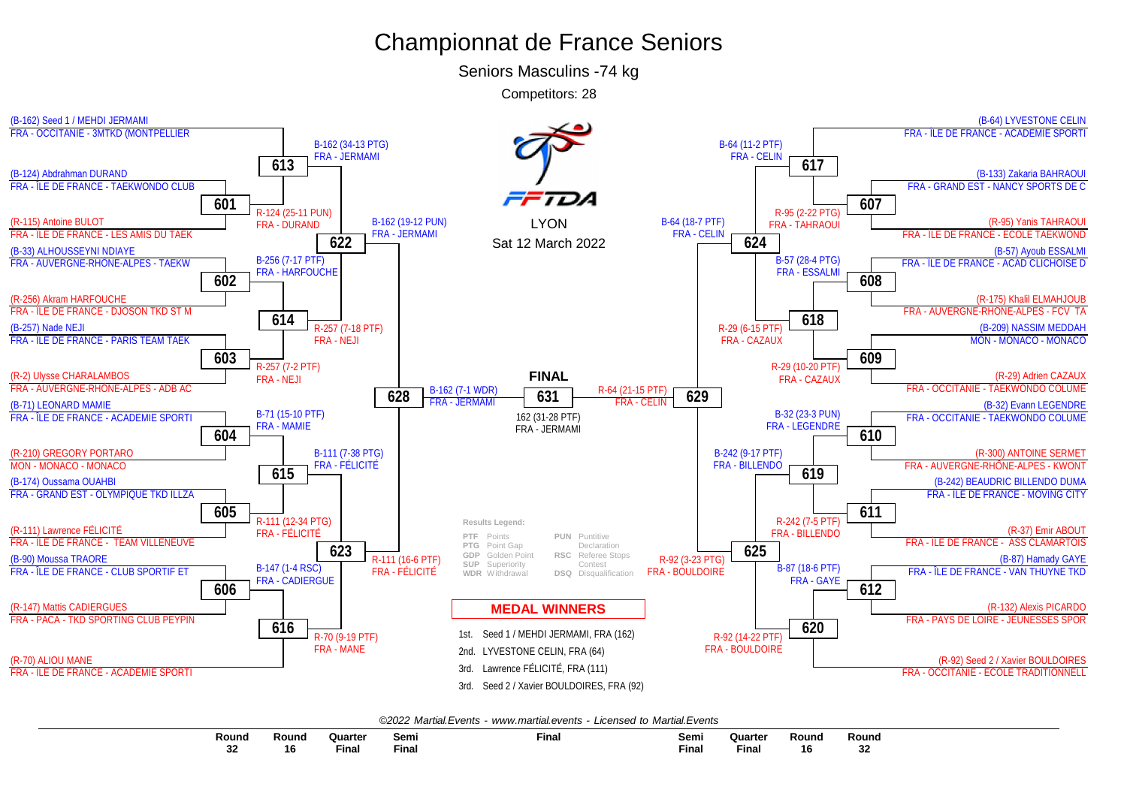Seniors Masculins -74 kg

Competitors: 28



| Round  | Round | રuarte⊧                                                                                            | Semi  | Fina. | Semi         | Quarter                                                                                                               | Rounc' | Rounc     |
|--------|-------|----------------------------------------------------------------------------------------------------|-------|-------|--------------|-----------------------------------------------------------------------------------------------------------------------|--------|-----------|
|        |       | and the state of the state of the state of the state of the state of the state of the state of the |       |       |              | <b>Contract Contract Contract Contract Contract Contract Contract Contract Contract Contract Contract Contract Co</b> |        |           |
| <br>JЕ | 16    | Final                                                                                              | Final |       | <b>Final</b> | <b>Final</b>                                                                                                          | 10     | on.<br>JЪ |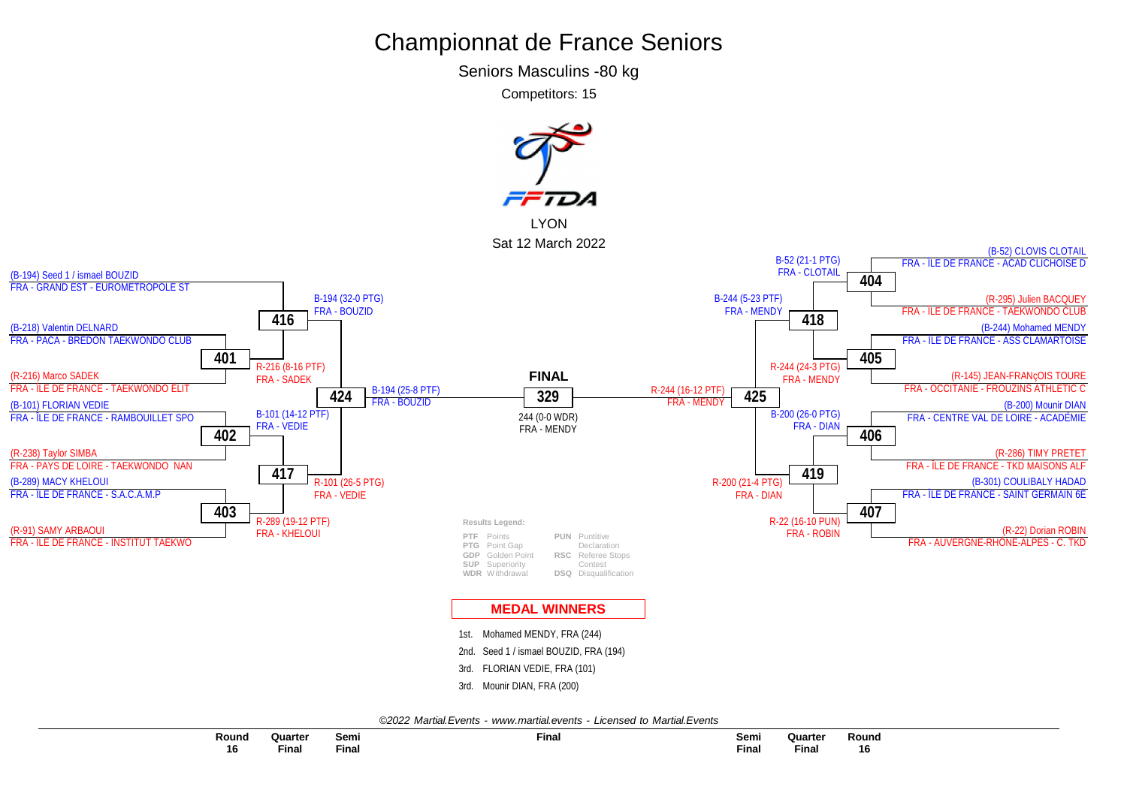Seniors Masculins -80 kg